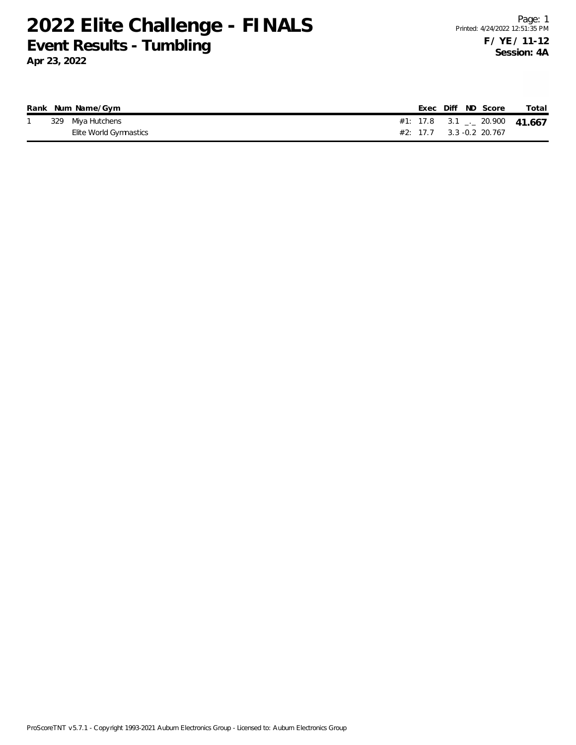## **2022 Elite Challenge - FINALS Event Results - Tumbling**

**Apr 23, 2022**

|  | Rank Num Name/Gym      |  |  | Exec Diff ND Score       | Total                                 |
|--|------------------------|--|--|--------------------------|---------------------------------------|
|  | 329 Miya Hutchens      |  |  |                          | #1: 17.8 $3.1$ $_{-1}$ 20.900  41.667 |
|  | Elite World Gymnastics |  |  | #2: 17.7 3.3 -0.2 20.767 |                                       |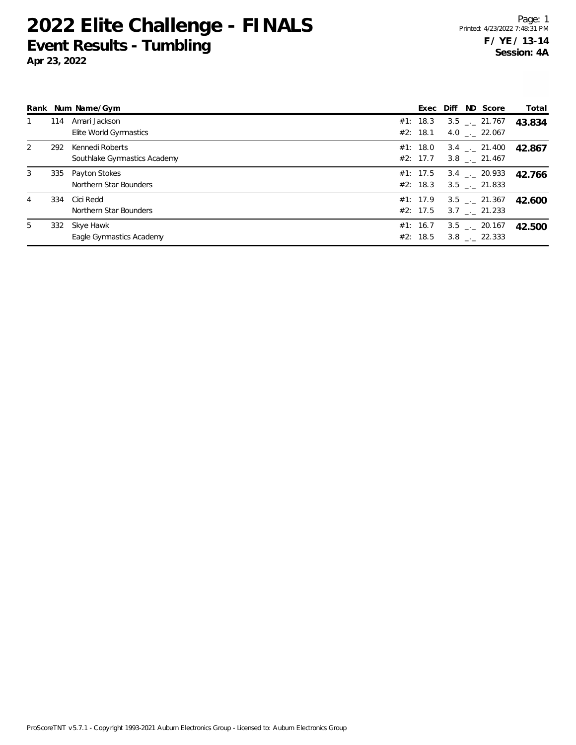## **2022 Elite Challenge - FINALS Event Results - Tumbling**

**Apr 23, 2022**

|     |                              |                                                                                            |                                                                                                          |          | Total                                                                                                                                                                                                                                                                       |
|-----|------------------------------|--------------------------------------------------------------------------------------------|----------------------------------------------------------------------------------------------------------|----------|-----------------------------------------------------------------------------------------------------------------------------------------------------------------------------------------------------------------------------------------------------------------------------|
| 114 | Amari Jackson                |                                                                                            |                                                                                                          |          | 43.834                                                                                                                                                                                                                                                                      |
|     |                              |                                                                                            |                                                                                                          |          |                                                                                                                                                                                                                                                                             |
| 292 | Kennedi Roberts              |                                                                                            |                                                                                                          |          | 42.867                                                                                                                                                                                                                                                                      |
|     | Southlake Gymnastics Academy |                                                                                            |                                                                                                          |          |                                                                                                                                                                                                                                                                             |
| 335 |                              |                                                                                            |                                                                                                          |          | 42.766                                                                                                                                                                                                                                                                      |
|     | Northern Star Bounders       |                                                                                            |                                                                                                          |          |                                                                                                                                                                                                                                                                             |
| 334 |                              |                                                                                            |                                                                                                          |          | 42.600                                                                                                                                                                                                                                                                      |
|     | Northern Star Bounders       |                                                                                            |                                                                                                          |          |                                                                                                                                                                                                                                                                             |
|     |                              |                                                                                            |                                                                                                          |          | 42.500                                                                                                                                                                                                                                                                      |
|     | Eagle Gymnastics Academy     |                                                                                            |                                                                                                          |          |                                                                                                                                                                                                                                                                             |
|     |                              | Rank Num Name/Gym<br>Elite World Gymnastics<br>Payton Stokes<br>Cici Redd<br>332 Skye Hawk | #1: 18.3<br>#2: 18.1<br>#1: 18.0<br>#2: 17.7<br>#1: 17.5<br>#2: 18.3<br>#2: 17.5<br>#1: 16.7<br>#2: 18.5 | #1: 17.9 | Exec Diff ND Score<br>$3.5$ $_{-}$ 21.767<br>4.0 $\ldots$ 22.067<br>$3.4$ $_{\sim}$ 21.400<br>$3.8$ $_{\sim}$ 21.467<br>$3.4$ $_{-1}$ 20.933<br>$3.5$ $_{--}$ 21.833<br>$3.5$ $_{-1}$ 21.367<br>$3.7$ $_{-.}$ 21.233<br>$3.5$ $_{\leftarrow}$ 20.167<br>$3.8$ $_{-}$ 22.333 |